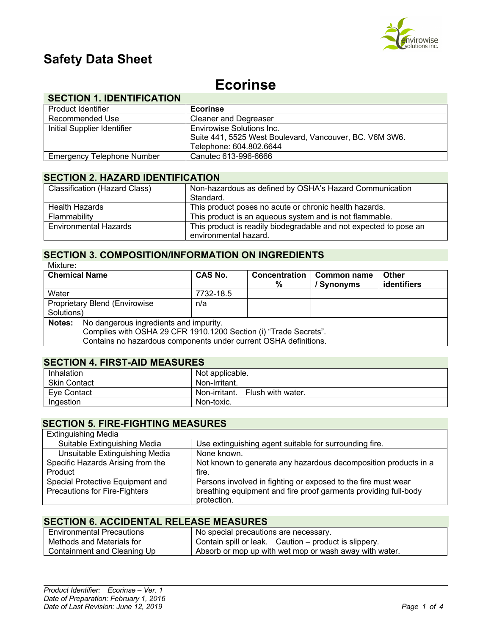

# **Safety Data Sheet**

# **Ecorinse**

# **SECTION 1. IDENTIFICATION**

| Product Identifier                | <b>Ecorinse</b>                                         |
|-----------------------------------|---------------------------------------------------------|
| Recommended Use                   | <b>Cleaner and Degreaser</b>                            |
| Initial Supplier Identifier       | <b>Envirowise Solutions Inc.</b>                        |
|                                   | Suite 441, 5525 West Boulevard, Vancouver, BC. V6M 3W6. |
|                                   | Telephone: 604.802.6644                                 |
| <b>Emergency Telephone Number</b> | Canutec 613-996-6666                                    |

# **SECTION 2. HAZARD IDENTIFICATION**

| <b>Classification (Hazard Class)</b> | Non-hazardous as defined by OSHA's Hazard Communication<br>Standard.                       |
|--------------------------------------|--------------------------------------------------------------------------------------------|
| <b>Health Hazards</b>                | This product poses no acute or chronic health hazards.                                     |
| Flammability                         | This product is an aqueous system and is not flammable.                                    |
| <b>Environmental Hazards</b>         | This product is readily biodegradable and not expected to pose an<br>environmental hazard. |
|                                      |                                                                                            |

#### **SECTION 3. COMPOSITION/INFORMATION ON INGREDIENTS** Mixture**:**

| <b>Chemical Name</b>                                             |                                                                  | <b>CAS No.</b> | <b>Concentration</b><br>% | Common name<br>/ Synonyms | <b>Other</b><br>identifiers |
|------------------------------------------------------------------|------------------------------------------------------------------|----------------|---------------------------|---------------------------|-----------------------------|
| Water                                                            |                                                                  | 7732-18.5      |                           |                           |                             |
|                                                                  | Proprietary Blend (Envirowise                                    | n/a            |                           |                           |                             |
| Solutions)                                                       |                                                                  |                |                           |                           |                             |
| No dangerous ingredients and impurity.<br>Notes:                 |                                                                  |                |                           |                           |                             |
| Complies with OSHA 29 CFR 1910.1200 Section (i) "Trade Secrets". |                                                                  |                |                           |                           |                             |
|                                                                  | Contains no hazardous components under current OSHA definitions. |                |                           |                           |                             |

### **SECTION 4. FIRST-AID MEASURES**

| Inhalation          | Not applicable.                 |
|---------------------|---------------------------------|
| <b>Skin Contact</b> | Non-Irritant.                   |
| Eve Contact         | Non-irritant. Flush with water. |
| Ingestion           | Non-toxic.                      |

# **SECTION 5. FIRE-FIGHTING MEASURES**

| <b>Extinguishing Media</b>           |                                                                 |
|--------------------------------------|-----------------------------------------------------------------|
| Suitable Extinguishing Media         | Use extinguishing agent suitable for surrounding fire.          |
| Unsuitable Extinguishing Media       | None known.                                                     |
| Specific Hazards Arising from the    | Not known to generate any hazardous decomposition products in a |
| Product                              | fire.                                                           |
| Special Protective Equipment and     | Persons involved in fighting or exposed to the fire must wear   |
| <b>Precautions for Fire-Fighters</b> | breathing equipment and fire proof garments providing full-body |
|                                      | protection.                                                     |

### **SECTION 6. ACCIDENTAL RELEASE MEASURES**

| <b>Environmental Precautions</b> | No special precautions are necessary.                  |
|----------------------------------|--------------------------------------------------------|
| Methods and Materials for        | Contain spill or leak. Caution – product is slippery.  |
| Containment and Cleaning Up      | Absorb or mop up with wet mop or wash away with water. |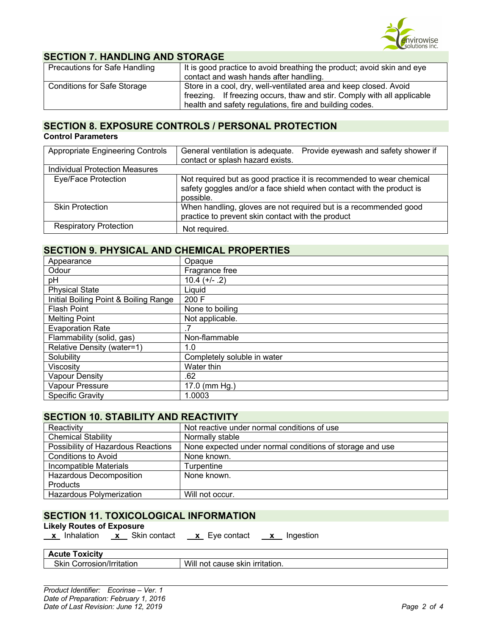

## **SECTION 7. HANDLING AND STORAGE**

| <b>Precautions for Safe Handling</b> | It is good practice to avoid breathing the product; avoid skin and eye  |
|--------------------------------------|-------------------------------------------------------------------------|
|                                      | contact and wash hands after handling.                                  |
| <b>Conditions for Safe Storage</b>   | Store in a cool, dry, well-ventilated area and keep closed. Avoid       |
|                                      | freezing. If freezing occurs, thaw and stir. Comply with all applicable |
|                                      | health and safety regulations, fire and building codes.                 |

# **SECTION 8. EXPOSURE CONTROLS / PERSONAL PROTECTION**

### **Control Parameters**

| <b>Appropriate Engineering Controls</b> | General ventilation is adequate.<br>Provide eyewash and safety shower if<br>contact or splash hazard exists.                                              |
|-----------------------------------------|-----------------------------------------------------------------------------------------------------------------------------------------------------------|
| <b>Individual Protection Measures</b>   |                                                                                                                                                           |
| Eye/Face Protection                     | Not required but as good practice it is recommended to wear chemical<br>safety goggles and/or a face shield when contact with the product is<br>possible. |
| <b>Skin Protection</b>                  | When handling, gloves are not required but is a recommended good<br>practice to prevent skin contact with the product                                     |
| <b>Respiratory Protection</b>           | Not required.                                                                                                                                             |

# **SECTION 9. PHYSICAL AND CHEMICAL PROPERTIES**

| Appearance                            | Opaque                      |
|---------------------------------------|-----------------------------|
| Odour                                 | Fragrance free              |
| рH                                    | $10.4 (+/- .2)$             |
| <b>Physical State</b>                 | Liquid                      |
| Initial Boiling Point & Boiling Range | 200 F                       |
| <b>Flash Point</b>                    | None to boiling             |
| <b>Melting Point</b>                  | Not applicable.             |
| <b>Evaporation Rate</b>               |                             |
| Flammability (solid, gas)             | Non-flammable               |
| Relative Density (water=1)            | 1.0                         |
| Solubility                            | Completely soluble in water |
| <b>Viscosity</b>                      | Water thin                  |
| <b>Vapour Density</b>                 | .62                         |
| Vapour Pressure                       | 17.0 (mm Hg.)               |
| <b>Specific Gravity</b>               | 1.0003                      |

#### **SECTION 10. STABILITY AND REACTIVITY**

| Reactivity                         | Not reactive under normal conditions of use              |
|------------------------------------|----------------------------------------------------------|
| <b>Chemical Stability</b>          | Normally stable                                          |
| Possibility of Hazardous Reactions | None expected under normal conditions of storage and use |
| <b>Conditions to Avoid</b>         | None known.                                              |
| Incompatible Materials             | Turpentine                                               |
| <b>Hazardous Decomposition</b>     | None known.                                              |
| <b>Products</b>                    |                                                          |
| Hazardous Polymerization           | Will not occur.                                          |

# **SECTION 11. TOXICOLOGICAL INFORMATION**

**Likely Routes of Exposure**

 **x** Inhalation **x** Skin contact **x** Eye contact **x** Ingestion

**Acute Toxicity**

| TUULU I UAIVILY                     |                                             |
|-------------------------------------|---------------------------------------------|
| <b>Skin</b><br>Corrosion/Irritation | Will<br>urritation.<br>cause<br>skin<br>not |
|                                     |                                             |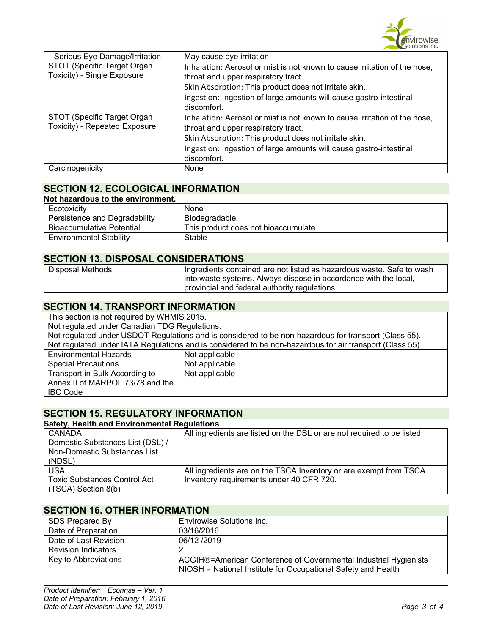

| Serious Eye Damage/Irritation                                | May cause eye irritation                                                                                         |
|--------------------------------------------------------------|------------------------------------------------------------------------------------------------------------------|
| STOT (Specific Target Organ                                  | Inhalation: Aerosol or mist is not known to cause irritation of the nose,                                        |
| Toxicity) - Single Exposure                                  | throat and upper respiratory tract.                                                                              |
|                                                              | Skin Absorption: This product does not irritate skin.                                                            |
|                                                              | Ingestion: Ingestion of large amounts will cause gastro-intestinal<br>discomfort.                                |
| STOT (Specific Target Organ<br>Toxicity) - Repeated Exposure | Inhalation: Aerosol or mist is not known to cause irritation of the nose,<br>throat and upper respiratory tract. |
|                                                              | Skin Absorption: This product does not irritate skin.                                                            |
|                                                              | Ingestion: Ingestion of large amounts will cause gastro-intestinal                                               |
|                                                              | discomfort.                                                                                                      |
| Carcinogenicity                                              | None                                                                                                             |

# **SECTION 12. ECOLOGICAL INFORMATION**

| Not hazardous to the environment. |                                      |
|-----------------------------------|--------------------------------------|
| Ecotoxicity                       | None                                 |
| Persistence and Degradability     | Biodegradable.                       |
| <b>Bioaccumulative Potential</b>  | This product does not bioaccumulate. |
| <b>Environmental Stability</b>    | Stable                               |

# **SECTION 13. DISPOSAL CONSIDERATIONS**

| Disposal Methods | Ingredients contained are not listed as hazardous waste. Safe to wash |
|------------------|-----------------------------------------------------------------------|
|                  | I into waste systems. Always dispose in accordance with the local,    |
|                  | provincial and federal authority regulations.                         |

# **SECTION 14. TRANSPORT INFORMATION**

| This section is not required by WHMIS 2015.                                                              |                |  |
|----------------------------------------------------------------------------------------------------------|----------------|--|
| Not regulated under Canadian TDG Regulations.                                                            |                |  |
| Not regulated under USDOT Regulations and is considered to be non-hazardous for transport (Class 55).    |                |  |
| Not regulated under IATA Regulations and is considered to be non-hazardous for air transport (Class 55). |                |  |
| <b>Environmental Hazards</b>                                                                             | Not applicable |  |
| <b>Special Precautions</b>                                                                               | Not applicable |  |
| Transport in Bulk According to                                                                           | Not applicable |  |
| Annex II of MARPOL 73/78 and the                                                                         |                |  |
| <b>IBC Code</b>                                                                                          |                |  |

### **SECTION 15. REGULATORY INFORMATION**

#### **Safety, Health and Environmental Regulations**

| CANADA                              | All ingredients are listed on the DSL or are not required to be listed. |
|-------------------------------------|-------------------------------------------------------------------------|
| Domestic Substances List (DSL) /    |                                                                         |
| Non-Domestic Substances List        |                                                                         |
| (NDSL)                              |                                                                         |
| <b>USA</b>                          | All ingredients are on the TSCA Inventory or are exempt from TSCA       |
| <b>Toxic Substances Control Act</b> | Inventory requirements under 40 CFR 720.                                |
| (TSCA) Section 8(b)                 |                                                                         |

### **SECTION 16. OTHER INFORMATION**

| SDS Prepared By            | <b>Envirowise Solutions Inc.</b>                                 |
|----------------------------|------------------------------------------------------------------|
| Date of Preparation        | 03/16/2016                                                       |
| Date of Last Revision      | 06/12 /2019                                                      |
| <b>Revision Indicators</b> |                                                                  |
| Key to Abbreviations       | ACGIH®=American Conference of Governmental Industrial Hygienists |
|                            | NIOSH = National Institute for Occupational Safety and Health    |